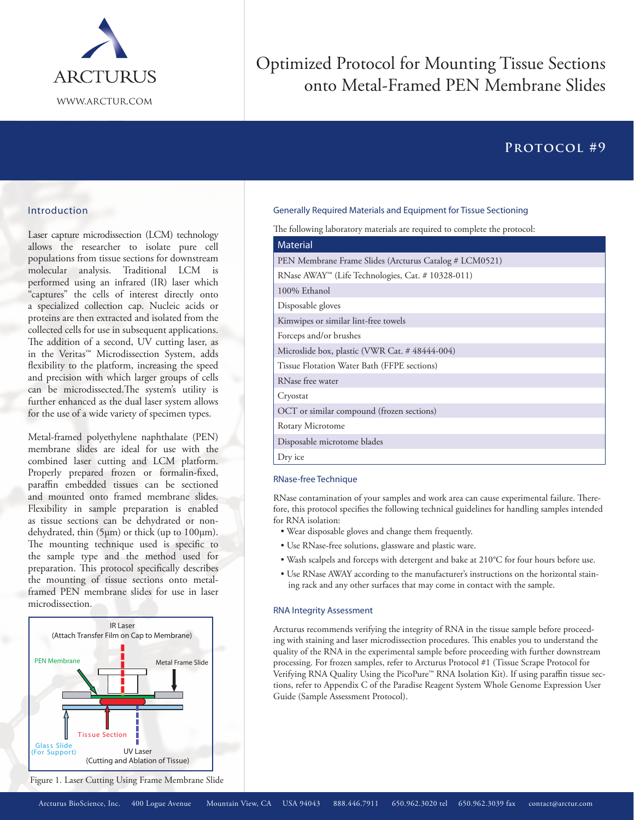

# **Optimized Protocol for Mounting Tissue Sections** onto Metal-Framed PEN Membrane Slides

# PROTOCOL #9

### Introduction

Laser capture microdissection (LCM) technology allows the researcher to isolate pure cell populations from tissue sections for downstream molecular analysis. Traditional LCM is performed using an infrared (IR) laser which "captures" the cells of interest directly onto a specialized collection cap. Nucleic acids or proteins are then extracted and isolated from the collected cells for use in subsequent applications. The addition of a second, UV cutting laser, as in the Veritas<sup>™</sup> Microdissection System, adds flexibility to the platform, increasing the speed and precision with which larger groups of cells can be microdissected. The system's utility is further enhanced as the dual laser system allows for the use of a wide variety of specimen types.

Metal-framed polyethylene naphthalate (PEN) membrane slides are ideal for use with the combined laser cutting and LCM platform. Properly prepared frozen or formalin-fixed, paraffin embedded tissues can be sectioned and mounted onto framed membrane slides. Flexibility in sample preparation is enabled as tissue sections can be dehydrated or nondehydrated, thin (5µm) or thick (up to 100µm). The mounting technique used is specific to the sample type and the method used for preparation. This protocol specifically describes the mounting of tissue sections onto metalframed PEN membrane slides for use in laser microdissection.



Figure 1. Laser Cutting Using Frame Membrane Slide

#### Generally Required Materials and Equipment for Tissue Sectioning

The following laboratory materials are required to complete the protocol:

| <b>Material</b>                                                |
|----------------------------------------------------------------|
| PEN Membrane Frame Slides (Arcturus Catalog # LCM0521)         |
| RNase AWAY <sup>**</sup> (Life Technologies, Cat. # 10328-011) |
| 100% Ethanol                                                   |
| Disposable gloves                                              |
| Kimwipes or similar lint-free towels                           |
| Forceps and/or brushes                                         |
| Microslide box, plastic (VWR Cat. #48444-004)                  |
| Tissue Flotation Water Bath (FFPE sections)                    |
| RNase free water                                               |
| Cryostat                                                       |
| OCT or similar compound (frozen sections)                      |
| Rotary Microtome                                               |
| Disposable microtome blades                                    |
| Dry ice                                                        |

#### RNase-free Technique

RNase contamination of your samples and work area can cause experimental failure. Therefore, this protocol specifies the following technical guidelines for handling samples intended for RNA isolation:

- Wear disposable gloves and change them frequently.
- · Use RNase-free solutions, glassware and plastic ware.
- . Wash scalpels and forceps with detergent and bake at 210°C for four hours before use.
- · Use RNase AWAY according to the manufacturer's instructions on the horizontal staining rack and any other surfaces that may come in contact with the sample.

#### **RNA Integrity Assessment**

Arcturus recommends verifying the integrity of RNA in the tissue sample before proceeding with staining and laser microdissection procedures. This enables you to understand the quality of the RNA in the experimental sample before proceeding with further downstream processing. For frozen samples, refer to Arcturus Protocol #1 (Tissue Scrape Protocol for Verifying RNA Quality Using the PicoPure™ RNA Isolation Kit). If using paraffin tissue sections, refer to Appendix C of the Paradise Reagent System Whole Genome Expression User Guide (Sample Assessment Protocol).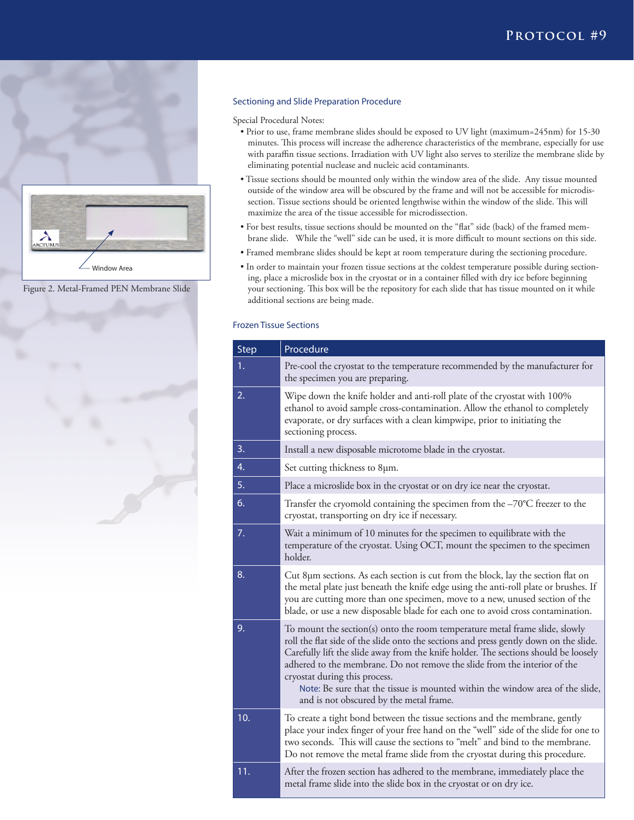

Figure 2. Metal-Framed PEN Membrane Slide

Window Area



#### **Sectioning and Slide Preparation Procedure**

Special Procedural Notes:

- **application note #1** with paraffin tissue sections. Irradiation with UV light also serves to sterilize the membrane slide by • Prior to use, frame membrane slides should be exposed to UV light (maximum=245nm) for 15-30 minutes. This process will increase the adherence characteristics of the membrane, especially for use eliminating potential nuclease and nucleic acid contaminants.
- Tissue sections should be mounted only within the window area of the slide. Any tissue mounted outside of the window area will be obscured by the frame and will not be accessible for microdissection. Tissue sections should be oriented lengthwise within the window of the slide. This will maximize the area of the tissue accessible for microdissection.
- For best results, tissue sections should be mounted on the "flat" side (back) of the framed membrane slide. While the "well" side can be used, it is more difficult to mount sections on this side.
- Framed membrane slides should be kept at room temperature during the sectioning procedure.
- In order to maintain your frozen tissue sections at the coldest temperature possible during sectioning, place a microslide box in the cryostat or in a container filled with dry ice before beginning your sectioning. This box will be the repository for each slide that has tissue mounted on it while additional sections are being made.

### **Frozen Tissue Sections**

| <b>Step</b> | Procedure                                                                                                                                                                                                                                                                                                                                                                                                                                                                                             |
|-------------|-------------------------------------------------------------------------------------------------------------------------------------------------------------------------------------------------------------------------------------------------------------------------------------------------------------------------------------------------------------------------------------------------------------------------------------------------------------------------------------------------------|
| 1.          | Pre-cool the cryostat to the temperature recommended by the manufacturer for<br>the specimen you are preparing.                                                                                                                                                                                                                                                                                                                                                                                       |
| 2.          | Wipe down the knife holder and anti-roll plate of the cryostat with 100%<br>ethanol to avoid sample cross-contamination. Allow the ethanol to completely<br>evaporate, or dry surfaces with a clean kimpwipe, prior to initiating the<br>sectioning process.                                                                                                                                                                                                                                          |
| 3.          | Install a new disposable microtome blade in the cryostat.                                                                                                                                                                                                                                                                                                                                                                                                                                             |
| 4.          | Set cutting thickness to 8µm.                                                                                                                                                                                                                                                                                                                                                                                                                                                                         |
| 5.          | Place a microslide box in the cryostat or on dry ice near the cryostat.                                                                                                                                                                                                                                                                                                                                                                                                                               |
| 6.          | Transfer the cryomold containing the specimen from the $-70^{\circ}$ C freezer to the<br>cryostat, transporting on dry ice if necessary.                                                                                                                                                                                                                                                                                                                                                              |
| 7.          | Wait a minimum of 10 minutes for the specimen to equilibrate with the<br>temperature of the cryostat. Using OCT, mount the specimen to the specimen<br>holder.                                                                                                                                                                                                                                                                                                                                        |
| 8.          | Cut 8µm sections. As each section is cut from the block, lay the section flat on<br>the metal plate just beneath the knife edge using the anti-roll plate or brushes. If<br>you are cutting more than one specimen, move to a new, unused section of the<br>blade, or use a new disposable blade for each one to avoid cross contamination.                                                                                                                                                           |
| 9.          | To mount the section(s) onto the room temperature metal frame slide, slowly<br>roll the flat side of the slide onto the sections and press gently down on the slide.<br>Carefully lift the slide away from the knife holder. The sections should be loosely<br>adhered to the membrane. Do not remove the slide from the interior of the<br>cryostat during this process.<br>Note: Be sure that the tissue is mounted within the window area of the slide,<br>and is not obscured by the metal frame. |
| 10.         | To create a tight bond between the tissue sections and the membrane, gently<br>place your index finger of your free hand on the "well" side of the slide for one to<br>two seconds. This will cause the sections to "melt" and bind to the membrane.<br>Do not remove the metal frame slide from the cryostat during this procedure.                                                                                                                                                                  |
| 11.         | After the frozen section has adhered to the membrane, immediately place the<br>metal frame slide into the slide box in the cryostat or on dry ice.                                                                                                                                                                                                                                                                                                                                                    |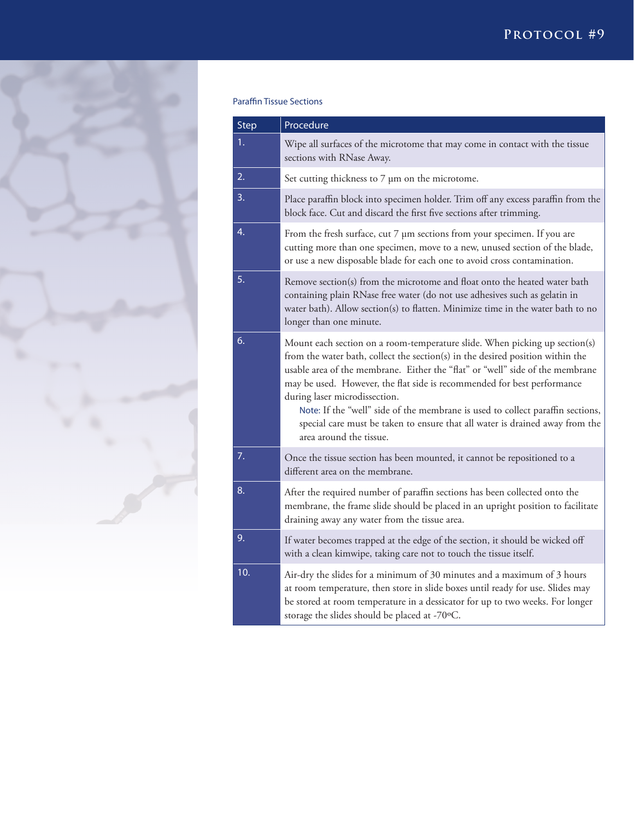

# **Paraffin Tissue Sections**

| Step | Procedure                                                                                                                                                                                                                                                                                                                                                                                                                                                                                                                                              |
|------|--------------------------------------------------------------------------------------------------------------------------------------------------------------------------------------------------------------------------------------------------------------------------------------------------------------------------------------------------------------------------------------------------------------------------------------------------------------------------------------------------------------------------------------------------------|
| 1.   | Wipe all surfaces of the microtome that may come in contact with the tissue<br>sections with RNase Away.                                                                                                                                                                                                                                                                                                                                                                                                                                               |
| 2.   | Set cutting thickness to 7 µm on the microtome.                                                                                                                                                                                                                                                                                                                                                                                                                                                                                                        |
| 3.   | Place paraffin block into specimen holder. Trim off any excess paraffin from the<br>block face. Cut and discard the first five sections after trimming.                                                                                                                                                                                                                                                                                                                                                                                                |
| 4.   | From the fresh surface, cut 7 µm sections from your specimen. If you are<br>cutting more than one specimen, move to a new, unused section of the blade,<br>or use a new disposable blade for each one to avoid cross contamination.                                                                                                                                                                                                                                                                                                                    |
| 5.   | Remove section(s) from the microtome and float onto the heated water bath<br>containing plain RNase free water (do not use adhesives such as gelatin in<br>water bath). Allow section(s) to flatten. Minimize time in the water bath to no<br>longer than one minute.                                                                                                                                                                                                                                                                                  |
| 6.   | Mount each section on a room-temperature slide. When picking up section(s)<br>from the water bath, collect the section(s) in the desired position within the<br>usable area of the membrane. Either the "flat" or "well" side of the membrane<br>may be used. However, the flat side is recommended for best performance<br>during laser microdissection.<br>Note: If the "well" side of the membrane is used to collect paraffin sections,<br>special care must be taken to ensure that all water is drained away from the<br>area around the tissue. |
| 7.   | Once the tissue section has been mounted, it cannot be repositioned to a<br>different area on the membrane.                                                                                                                                                                                                                                                                                                                                                                                                                                            |
| 8.   | After the required number of paraffin sections has been collected onto the<br>membrane, the frame slide should be placed in an upright position to facilitate<br>draining away any water from the tissue area.                                                                                                                                                                                                                                                                                                                                         |
| 9.   | If water becomes trapped at the edge of the section, it should be wicked off<br>with a clean kimwipe, taking care not to touch the tissue itself.                                                                                                                                                                                                                                                                                                                                                                                                      |
| 10.  | Air-dry the slides for a minimum of 30 minutes and a maximum of 3 hours<br>at room temperature, then store in slide boxes until ready for use. Slides may<br>be stored at room temperature in a dessicator for up to two weeks. For longer<br>storage the slides should be placed at -70°C.                                                                                                                                                                                                                                                            |